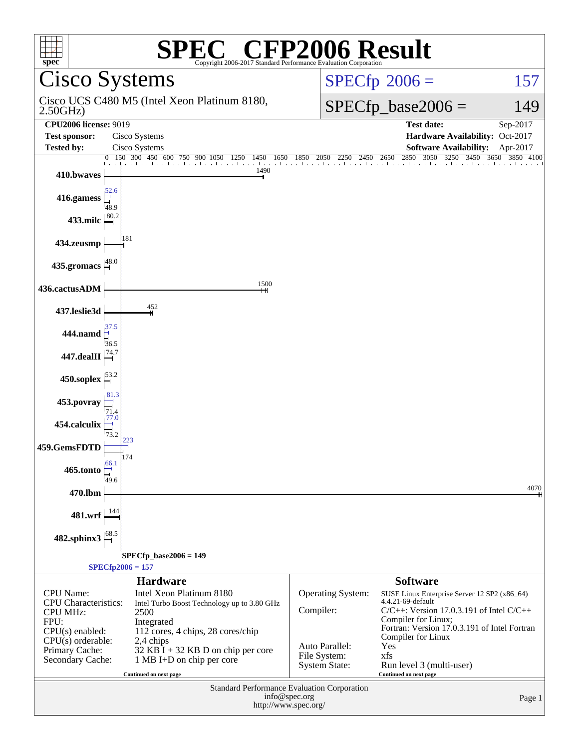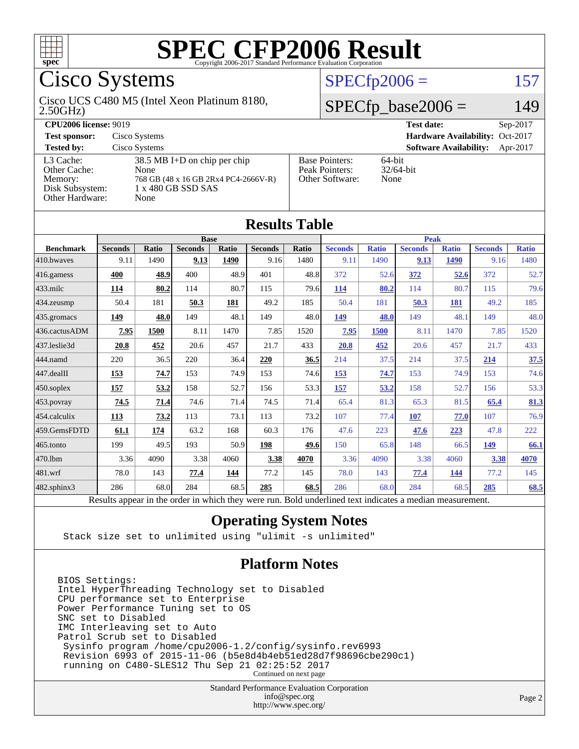

Cisco Systems

#### 2.50GHz) Cisco UCS C480 M5 (Intel Xeon Platinum 8180,

### $SPECfp2006 = 157$  $SPECfp2006 = 157$

### $SPECfp\_base2006 = 149$

| <b>CPU2006 license: 9019</b> |                                      |                       | <b>Test date:</b><br>$Sep-2017$           |
|------------------------------|--------------------------------------|-----------------------|-------------------------------------------|
| <b>Test sponsor:</b>         | Cisco Systems                        |                       | Hardware Availability: Oct-2017           |
| <b>Tested by:</b>            | Cisco Systems                        |                       | <b>Software Availability:</b><br>Apr-2017 |
| L3 Cache:                    | $38.5$ MB I+D on chip per chip       | <b>Base Pointers:</b> | $64$ -bit                                 |
| Other Cache:                 | None                                 | Peak Pointers:        | $32/64$ -bit                              |
| Memory:                      | 768 GB (48 x 16 GB 2Rx4 PC4-2666V-R) | Other Software:       | None                                      |
| Disk Subsystem:              | 1 x 480 GB SSD SAS                   |                       |                                           |
| Other Hardware:              | None                                 |                       |                                           |

**[Results Table](http://www.spec.org/auto/cpu2006/Docs/result-fields.html#ResultsTable)**

|                   |                                                                                                          |              |                |              | IWJUIW LUVIV   |             |                |              |                |              |                |              |
|-------------------|----------------------------------------------------------------------------------------------------------|--------------|----------------|--------------|----------------|-------------|----------------|--------------|----------------|--------------|----------------|--------------|
| <b>Base</b>       |                                                                                                          |              |                |              |                | <b>Peak</b> |                |              |                |              |                |              |
| <b>Benchmark</b>  | <b>Seconds</b>                                                                                           | <b>Ratio</b> | <b>Seconds</b> | <b>Ratio</b> | <b>Seconds</b> | Ratio       | <b>Seconds</b> | <b>Ratio</b> | <b>Seconds</b> | <b>Ratio</b> | <b>Seconds</b> | <b>Ratio</b> |
| 410.bwayes        | 9.11                                                                                                     | 1490         | 9.13           | 1490         | 9.16           | 1480        | 9.11           | 1490         | 9.13           | 1490         | 9.16           | 1480         |
| 416.gamess        | 400                                                                                                      | 48.9         | 400            | 48.9         | 401            | 48.8        | 372            | 52.6         | 372            | 52.6         | 372            | 52.7         |
| $433$ .milc       | 114                                                                                                      | 80.2         | 114            | 80.7         | 115            | 79.6        | 114            | 80.2         | 114            | 80.7         | 115            | 79.6         |
| 434.zeusmp        | 50.4                                                                                                     | 181          | 50.3           | 181          | 49.2           | 185         | 50.4           | 181          | 50.3           | 181          | 49.2           | 185          |
| 435.gromacs       | 149                                                                                                      | 48.0         | 149            | 48.1         | 149            | 48.0        | 149            | 48.0         | 149            | 48.1         | 149            | 48.0         |
| 436.cactusADM     | 7.95                                                                                                     | 1500         | 8.11           | 1470         | 7.85           | 1520        | 7.95           | <b>1500</b>  | 8.11           | 1470         | 7.85           | 1520         |
| 437.leslie3d      | 20.8                                                                                                     | 452          | 20.6           | 457          | 21.7           | 433         | 20.8           | 452          | 20.6           | 457          | 21.7           | 433          |
| 444.namd          | 220                                                                                                      | 36.5         | 220            | 36.4         | 220            | 36.5        | 214            | 37.5         | 214            | 37.5         | 214            | 37.5         |
| 447.dealII        | 153                                                                                                      | 74.7         | 153            | 74.9         | 153            | 74.6        | 153            | 74.7         | 153            | 74.9         | 153            | 74.6         |
| $450$ .soplex     | 157                                                                                                      | 53.2         | 158            | 52.7         | 156            | 53.3        | 157            | 53.2         | 158            | 52.7         | 156            | 53.3         |
| $453$ .povray     | 74.5                                                                                                     | 71.4         | 74.6           | 71.4         | 74.5           | 71.4        | 65.4           | 81.3         | 65.3           | 81.5         | 65.4           | 81.3         |
| 454.calculix      | 113                                                                                                      | 73.2         | 113            | 73.1         | 113            | 73.2        | 107            | 77.4         | 107            | 77.0         | 107            | 76.9         |
| 459.GemsFDTD      | 61.1                                                                                                     | 174          | 63.2           | 168          | 60.3           | 176         | 47.6           | 223          | 47.6           | 223          | 47.8           | 222          |
| 465.tonto         | 199                                                                                                      | 49.5         | 193            | 50.9         | 198            | 49.6        | 150            | 65.8         | 148            | 66.5         | 149            | 66.1         |
| 470.1bm           | 3.36                                                                                                     | 4090         | 3.38           | 4060         | 3.38           | 4070        | 3.36           | 4090         | 3.38           | 4060         | 3.38           | 4070         |
| 481.wrf           | 78.0                                                                                                     | 143          | 77.4           | 144          | 77.2           | 145         | 78.0           | 143          | 77.4           | 144          | 77.2           | 145          |
| $482$ .sphinx $3$ | 286                                                                                                      | 68.0         | 284            | 68.5         | 285            | 68.5        | 286            | 68.0         | 284            | 68.5         | 285            | 68.5         |
|                   | Results appear in the order in which they were run. Bold underlined text indicates a median measurement. |              |                |              |                |             |                |              |                |              |                |              |

### **[Operating System Notes](http://www.spec.org/auto/cpu2006/Docs/result-fields.html#OperatingSystemNotes)**

Stack size set to unlimited using "ulimit -s unlimited"

### **[Platform Notes](http://www.spec.org/auto/cpu2006/Docs/result-fields.html#PlatformNotes)**

BIOS Settings: Intel HyperThreading Technology set to Disabled CPU performance set to Enterprise Power Performance Tuning set to OS SNC set to Disabled IMC Interleaving set to Auto Patrol Scrub set to Disabled Sysinfo program /home/cpu2006-1.2/config/sysinfo.rev6993 Revision 6993 of 2015-11-06 (b5e8d4b4eb51ed28d7f98696cbe290c1) running on C480-SLES12 Thu Sep 21 02:25:52 2017 Continued on next page

> Standard Performance Evaluation Corporation [info@spec.org](mailto:info@spec.org) <http://www.spec.org/>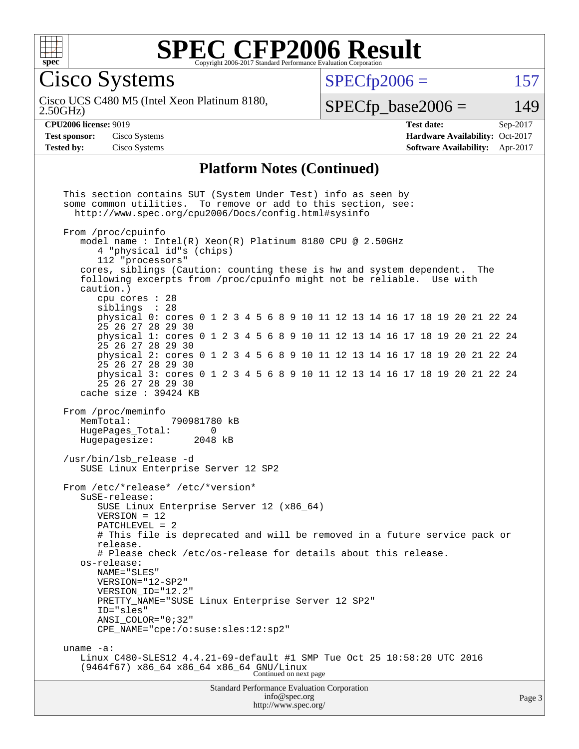

Cisco Systems

 $SPECTp2006 = 157$ 

2.50GHz) Cisco UCS C480 M5 (Intel Xeon Platinum 8180,  $SPECfp\_base2006 = 149$ 

**[CPU2006 license:](http://www.spec.org/auto/cpu2006/Docs/result-fields.html#CPU2006license)** 9019 **[Test date:](http://www.spec.org/auto/cpu2006/Docs/result-fields.html#Testdate)** Sep-2017 **[Test sponsor:](http://www.spec.org/auto/cpu2006/Docs/result-fields.html#Testsponsor)** Cisco Systems **[Hardware Availability:](http://www.spec.org/auto/cpu2006/Docs/result-fields.html#HardwareAvailability)** Oct-2017 **[Tested by:](http://www.spec.org/auto/cpu2006/Docs/result-fields.html#Testedby)** Cisco Systems **[Software Availability:](http://www.spec.org/auto/cpu2006/Docs/result-fields.html#SoftwareAvailability)** Apr-2017

### **[Platform Notes \(Continued\)](http://www.spec.org/auto/cpu2006/Docs/result-fields.html#PlatformNotes)**

Standard Performance Evaluation Corporation [info@spec.org](mailto:info@spec.org) This section contains SUT (System Under Test) info as seen by some common utilities. To remove or add to this section, see: <http://www.spec.org/cpu2006/Docs/config.html#sysinfo> From /proc/cpuinfo model name : Intel(R) Xeon(R) Platinum 8180 CPU @ 2.50GHz 4 "physical id"s (chips) 112 "processors" cores, siblings (Caution: counting these is hw and system dependent. The following excerpts from /proc/cpuinfo might not be reliable. Use with caution.) cpu cores : 28 siblings : 28 physical 0: cores 0 1 2 3 4 5 6 8 9 10 11 12 13 14 16 17 18 19 20 21 22 24 25 26 27 28 29 30 physical 1: cores 0 1 2 3 4 5 6 8 9 10 11 12 13 14 16 17 18 19 20 21 22 24 25 26 27 28 29 30 physical 2: cores 0 1 2 3 4 5 6 8 9 10 11 12 13 14 16 17 18 19 20 21 22 24 25 26 27 28 29 30 physical 3: cores 0 1 2 3 4 5 6 8 9 10 11 12 13 14 16 17 18 19 20 21 22 24 25 26 27 28 29 30 cache size : 39424 KB From /proc/meminfo<br>MemTotal: 790981780 kB HugePages\_Total: 0 Hugepagesize: 2048 kB /usr/bin/lsb\_release -d SUSE Linux Enterprise Server 12 SP2 From /etc/\*release\* /etc/\*version\* SuSE-release: SUSE Linux Enterprise Server 12 (x86\_64) VERSION = 12 PATCHLEVEL = 2 # This file is deprecated and will be removed in a future service pack or release. # Please check /etc/os-release for details about this release. os-release: NAME="SLES" VERSION="12-SP2" VERSION\_ID="12.2" PRETTY\_NAME="SUSE Linux Enterprise Server 12 SP2" ID="sles" ANSI\_COLOR="0;32" CPE\_NAME="cpe:/o:suse:sles:12:sp2" uname -a: Linux C480-SLES12 4.4.21-69-default #1 SMP Tue Oct 25 10:58:20 UTC 2016 (9464f67) x86\_64 x86\_64 x86\_64 GNU/Linux Continued on next page

<http://www.spec.org/>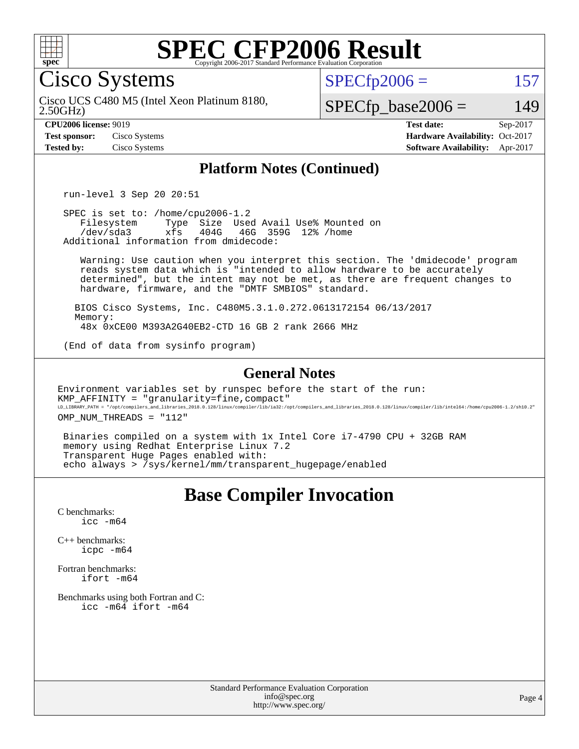

Cisco Systems

 $SPECTp2006 = 157$ 

2.50GHz) Cisco UCS C480 M5 (Intel Xeon Platinum 8180,

 $SPECfp\_base2006 = 149$ 

**[CPU2006 license:](http://www.spec.org/auto/cpu2006/Docs/result-fields.html#CPU2006license)** 9019 **[Test date:](http://www.spec.org/auto/cpu2006/Docs/result-fields.html#Testdate)** Sep-2017 **[Test sponsor:](http://www.spec.org/auto/cpu2006/Docs/result-fields.html#Testsponsor)** Cisco Systems **[Hardware Availability:](http://www.spec.org/auto/cpu2006/Docs/result-fields.html#HardwareAvailability)** Oct-2017 **[Tested by:](http://www.spec.org/auto/cpu2006/Docs/result-fields.html#Testedby)** Cisco Systems **[Software Availability:](http://www.spec.org/auto/cpu2006/Docs/result-fields.html#SoftwareAvailability)** Apr-2017

### **[Platform Notes \(Continued\)](http://www.spec.org/auto/cpu2006/Docs/result-fields.html#PlatformNotes)**

run-level 3 Sep 20 20:51

SPEC is set to: /home/cpu2006-1.2<br>Filesystem Type Size Use Filesystem Type Size Used Avail Use% Mounted on<br>/dev/sda3 xfs 404G 46G 359G 12% /home xfs 404G 46G 359G 12% /home Additional information from dmidecode:

 Warning: Use caution when you interpret this section. The 'dmidecode' program reads system data which is "intended to allow hardware to be accurately determined", but the intent may not be met, as there are frequent changes to hardware, firmware, and the "DMTF SMBIOS" standard.

 BIOS Cisco Systems, Inc. C480M5.3.1.0.272.0613172154 06/13/2017 Memory: 48x 0xCE00 M393A2G40EB2-CTD 16 GB 2 rank 2666 MHz

(End of data from sysinfo program)

#### **[General Notes](http://www.spec.org/auto/cpu2006/Docs/result-fields.html#GeneralNotes)**

Environment variables set by runspec before the start of the run: KMP\_AFFINITY = "granularity=fine,compact" LD\_LIBRARY\_PATH = "/opt/compilers\_and\_libraries\_2018.0.128/linux/compiler/lib/ia32:/opt/compilers\_and\_libraries\_2018.0.128/linux/compiler/lib/intel64:/home/cpu2006-1.2/sh10.2"

OMP NUM THREADS = "112"

 Binaries compiled on a system with 1x Intel Core i7-4790 CPU + 32GB RAM memory using Redhat Enterprise Linux 7.2 Transparent Huge Pages enabled with: echo always > /sys/kernel/mm/transparent\_hugepage/enabled

# **[Base Compiler Invocation](http://www.spec.org/auto/cpu2006/Docs/result-fields.html#BaseCompilerInvocation)**

[C benchmarks](http://www.spec.org/auto/cpu2006/Docs/result-fields.html#Cbenchmarks): [icc -m64](http://www.spec.org/cpu2006/results/res2017q4/cpu2006-20171003-50261.flags.html#user_CCbase_intel_icc_64bit_bda6cc9af1fdbb0edc3795bac97ada53)

[C++ benchmarks:](http://www.spec.org/auto/cpu2006/Docs/result-fields.html#CXXbenchmarks) [icpc -m64](http://www.spec.org/cpu2006/results/res2017q4/cpu2006-20171003-50261.flags.html#user_CXXbase_intel_icpc_64bit_fc66a5337ce925472a5c54ad6a0de310)

[Fortran benchmarks](http://www.spec.org/auto/cpu2006/Docs/result-fields.html#Fortranbenchmarks): [ifort -m64](http://www.spec.org/cpu2006/results/res2017q4/cpu2006-20171003-50261.flags.html#user_FCbase_intel_ifort_64bit_ee9d0fb25645d0210d97eb0527dcc06e)

[Benchmarks using both Fortran and C](http://www.spec.org/auto/cpu2006/Docs/result-fields.html#BenchmarksusingbothFortranandC): [icc -m64](http://www.spec.org/cpu2006/results/res2017q4/cpu2006-20171003-50261.flags.html#user_CC_FCbase_intel_icc_64bit_bda6cc9af1fdbb0edc3795bac97ada53) [ifort -m64](http://www.spec.org/cpu2006/results/res2017q4/cpu2006-20171003-50261.flags.html#user_CC_FCbase_intel_ifort_64bit_ee9d0fb25645d0210d97eb0527dcc06e)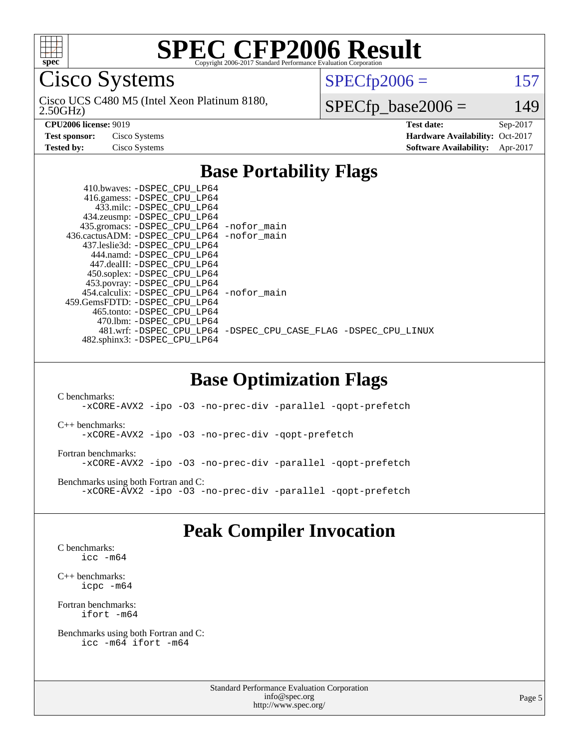

Cisco Systems

2.50GHz) Cisco UCS C480 M5 (Intel Xeon Platinum 8180,  $SPECTp2006 = 157$ 

 $SPECfp\_base2006 = 149$ 

**[CPU2006 license:](http://www.spec.org/auto/cpu2006/Docs/result-fields.html#CPU2006license)** 9019 **[Test date:](http://www.spec.org/auto/cpu2006/Docs/result-fields.html#Testdate)** Sep-2017 **[Test sponsor:](http://www.spec.org/auto/cpu2006/Docs/result-fields.html#Testsponsor)** Cisco Systems **[Hardware Availability:](http://www.spec.org/auto/cpu2006/Docs/result-fields.html#HardwareAvailability)** Oct-2017 **[Tested by:](http://www.spec.org/auto/cpu2006/Docs/result-fields.html#Testedby)** Cisco Systems **[Software Availability:](http://www.spec.org/auto/cpu2006/Docs/result-fields.html#SoftwareAvailability)** Apr-2017

## **[Base Portability Flags](http://www.spec.org/auto/cpu2006/Docs/result-fields.html#BasePortabilityFlags)**

| 410.bwaves: -DSPEC CPU LP64<br>416.gamess: -DSPEC_CPU_LP64 |                                                                |
|------------------------------------------------------------|----------------------------------------------------------------|
| 433.milc: -DSPEC CPU LP64                                  |                                                                |
| 434.zeusmp: - DSPEC_CPU_LP64                               |                                                                |
| 435.gromacs: -DSPEC_CPU_LP64 -nofor_main                   |                                                                |
| 436.cactusADM: - DSPEC CPU LP64 - nofor main               |                                                                |
| 437.leslie3d: -DSPEC CPU LP64                              |                                                                |
| 444.namd: -DSPEC CPU LP64                                  |                                                                |
| 447.dealII: -DSPEC CPU LP64                                |                                                                |
| 450.soplex: -DSPEC CPU LP64                                |                                                                |
| 453.povray: -DSPEC_CPU_LP64                                |                                                                |
| 454.calculix: - DSPEC CPU LP64 - nofor main                |                                                                |
| 459. GemsFDTD: - DSPEC CPU LP64                            |                                                                |
| 465.tonto: - DSPEC CPU LP64                                |                                                                |
| 470.1bm: - DSPEC CPU LP64                                  |                                                                |
|                                                            | 481.wrf: -DSPEC CPU_LP64 -DSPEC_CPU_CASE_FLAG -DSPEC_CPU_LINUX |
| 482.sphinx3: -DSPEC_CPU_LP64                               |                                                                |
|                                                            |                                                                |

## **[Base Optimization Flags](http://www.spec.org/auto/cpu2006/Docs/result-fields.html#BaseOptimizationFlags)**

[C benchmarks](http://www.spec.org/auto/cpu2006/Docs/result-fields.html#Cbenchmarks): [-xCORE-AVX2](http://www.spec.org/cpu2006/results/res2017q4/cpu2006-20171003-50261.flags.html#user_CCbase_f-xCORE-AVX2) [-ipo](http://www.spec.org/cpu2006/results/res2017q4/cpu2006-20171003-50261.flags.html#user_CCbase_f-ipo) [-O3](http://www.spec.org/cpu2006/results/res2017q4/cpu2006-20171003-50261.flags.html#user_CCbase_f-O3) [-no-prec-div](http://www.spec.org/cpu2006/results/res2017q4/cpu2006-20171003-50261.flags.html#user_CCbase_f-no-prec-div) [-parallel](http://www.spec.org/cpu2006/results/res2017q4/cpu2006-20171003-50261.flags.html#user_CCbase_f-parallel) [-qopt-prefetch](http://www.spec.org/cpu2006/results/res2017q4/cpu2006-20171003-50261.flags.html#user_CCbase_f-qopt-prefetch) [C++ benchmarks:](http://www.spec.org/auto/cpu2006/Docs/result-fields.html#CXXbenchmarks) [-xCORE-AVX2](http://www.spec.org/cpu2006/results/res2017q4/cpu2006-20171003-50261.flags.html#user_CXXbase_f-xCORE-AVX2) [-ipo](http://www.spec.org/cpu2006/results/res2017q4/cpu2006-20171003-50261.flags.html#user_CXXbase_f-ipo) [-O3](http://www.spec.org/cpu2006/results/res2017q4/cpu2006-20171003-50261.flags.html#user_CXXbase_f-O3) [-no-prec-div](http://www.spec.org/cpu2006/results/res2017q4/cpu2006-20171003-50261.flags.html#user_CXXbase_f-no-prec-div) [-qopt-prefetch](http://www.spec.org/cpu2006/results/res2017q4/cpu2006-20171003-50261.flags.html#user_CXXbase_f-qopt-prefetch) [Fortran benchmarks](http://www.spec.org/auto/cpu2006/Docs/result-fields.html#Fortranbenchmarks): [-xCORE-AVX2](http://www.spec.org/cpu2006/results/res2017q4/cpu2006-20171003-50261.flags.html#user_FCbase_f-xCORE-AVX2) [-ipo](http://www.spec.org/cpu2006/results/res2017q4/cpu2006-20171003-50261.flags.html#user_FCbase_f-ipo) [-O3](http://www.spec.org/cpu2006/results/res2017q4/cpu2006-20171003-50261.flags.html#user_FCbase_f-O3) [-no-prec-div](http://www.spec.org/cpu2006/results/res2017q4/cpu2006-20171003-50261.flags.html#user_FCbase_f-no-prec-div) [-parallel](http://www.spec.org/cpu2006/results/res2017q4/cpu2006-20171003-50261.flags.html#user_FCbase_f-parallel) [-qopt-prefetch](http://www.spec.org/cpu2006/results/res2017q4/cpu2006-20171003-50261.flags.html#user_FCbase_f-qopt-prefetch) [Benchmarks using both Fortran and C](http://www.spec.org/auto/cpu2006/Docs/result-fields.html#BenchmarksusingbothFortranandC): [-xCORE-AVX2](http://www.spec.org/cpu2006/results/res2017q4/cpu2006-20171003-50261.flags.html#user_CC_FCbase_f-xCORE-AVX2) [-ipo](http://www.spec.org/cpu2006/results/res2017q4/cpu2006-20171003-50261.flags.html#user_CC_FCbase_f-ipo) [-O3](http://www.spec.org/cpu2006/results/res2017q4/cpu2006-20171003-50261.flags.html#user_CC_FCbase_f-O3) [-no-prec-div](http://www.spec.org/cpu2006/results/res2017q4/cpu2006-20171003-50261.flags.html#user_CC_FCbase_f-no-prec-div) [-parallel](http://www.spec.org/cpu2006/results/res2017q4/cpu2006-20171003-50261.flags.html#user_CC_FCbase_f-parallel) [-qopt-prefetch](http://www.spec.org/cpu2006/results/res2017q4/cpu2006-20171003-50261.flags.html#user_CC_FCbase_f-qopt-prefetch)

## **[Peak Compiler Invocation](http://www.spec.org/auto/cpu2006/Docs/result-fields.html#PeakCompilerInvocation)**

[C benchmarks](http://www.spec.org/auto/cpu2006/Docs/result-fields.html#Cbenchmarks): [icc -m64](http://www.spec.org/cpu2006/results/res2017q4/cpu2006-20171003-50261.flags.html#user_CCpeak_intel_icc_64bit_bda6cc9af1fdbb0edc3795bac97ada53)

[C++ benchmarks:](http://www.spec.org/auto/cpu2006/Docs/result-fields.html#CXXbenchmarks) [icpc -m64](http://www.spec.org/cpu2006/results/res2017q4/cpu2006-20171003-50261.flags.html#user_CXXpeak_intel_icpc_64bit_fc66a5337ce925472a5c54ad6a0de310)

[Fortran benchmarks](http://www.spec.org/auto/cpu2006/Docs/result-fields.html#Fortranbenchmarks): [ifort -m64](http://www.spec.org/cpu2006/results/res2017q4/cpu2006-20171003-50261.flags.html#user_FCpeak_intel_ifort_64bit_ee9d0fb25645d0210d97eb0527dcc06e)

[Benchmarks using both Fortran and C](http://www.spec.org/auto/cpu2006/Docs/result-fields.html#BenchmarksusingbothFortranandC): [icc -m64](http://www.spec.org/cpu2006/results/res2017q4/cpu2006-20171003-50261.flags.html#user_CC_FCpeak_intel_icc_64bit_bda6cc9af1fdbb0edc3795bac97ada53) [ifort -m64](http://www.spec.org/cpu2006/results/res2017q4/cpu2006-20171003-50261.flags.html#user_CC_FCpeak_intel_ifort_64bit_ee9d0fb25645d0210d97eb0527dcc06e)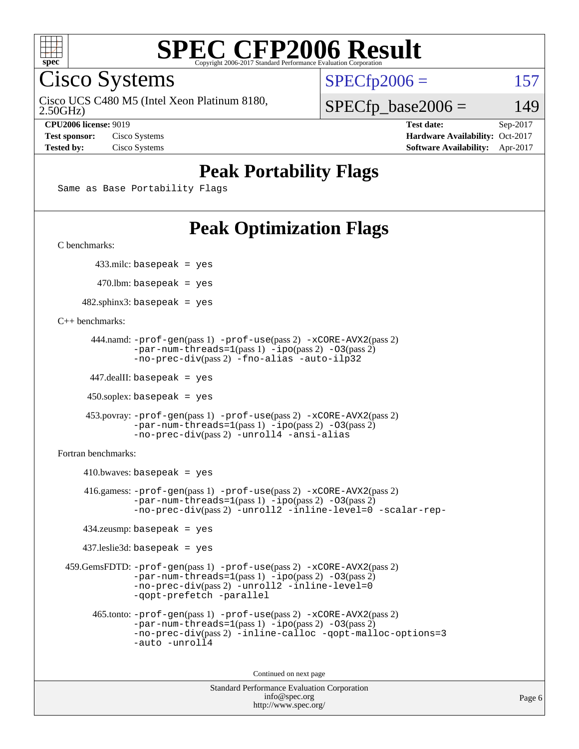

Cisco Systems

Cisco UCS C480 M5 (Intel Xeon Platinum 8180,

 $SPECTp2006 = 157$ 

2.50GHz)

 $SPECfp\_base2006 = 149$ 

**[CPU2006 license:](http://www.spec.org/auto/cpu2006/Docs/result-fields.html#CPU2006license)** 9019 **[Test date:](http://www.spec.org/auto/cpu2006/Docs/result-fields.html#Testdate)** Sep-2017 **[Test sponsor:](http://www.spec.org/auto/cpu2006/Docs/result-fields.html#Testsponsor)** Cisco Systems **[Hardware Availability:](http://www.spec.org/auto/cpu2006/Docs/result-fields.html#HardwareAvailability)** Oct-2017 **[Tested by:](http://www.spec.org/auto/cpu2006/Docs/result-fields.html#Testedby)** Cisco Systems **[Software Availability:](http://www.spec.org/auto/cpu2006/Docs/result-fields.html#SoftwareAvailability)** Apr-2017

## **[Peak Portability Flags](http://www.spec.org/auto/cpu2006/Docs/result-fields.html#PeakPortabilityFlags)**

Same as Base Portability Flags

# **[Peak Optimization Flags](http://www.spec.org/auto/cpu2006/Docs/result-fields.html#PeakOptimizationFlags)**

[C benchmarks](http://www.spec.org/auto/cpu2006/Docs/result-fields.html#Cbenchmarks):

433.milc: basepeak = yes

 $470$ .lbm: basepeak = yes

 $482$ .sphinx3: basepeak = yes

[C++ benchmarks:](http://www.spec.org/auto/cpu2006/Docs/result-fields.html#CXXbenchmarks)

```
 444.namd: -prof-gen(pass 1) -prof-use(pass 2) -xCORE-AVX2(pass 2)
      -par-num-threads=1-ipo-O3(pass 2)-no-prec-div(pass 2) -fno-alias -auto-ilp32
```
447.dealII: basepeak = yes

 $450$ .soplex: basepeak = yes

```
 453.povray: -prof-gen(pass 1) -prof-use(pass 2) -xCORE-AVX2(pass 2)
        -par-num-threads=1-ipo-O3(pass 2)-no-prec-div(pass 2) -unroll4 -ansi-alias
```
[Fortran benchmarks](http://www.spec.org/auto/cpu2006/Docs/result-fields.html#Fortranbenchmarks):

```
410.bwaves: basepeak = yes 416.gamess: -prof-gen(pass 1) -prof-use(pass 2) -xCORE-AVX2(pass 2)
           -par-num-threads=1-ipo-O3(pass 2)-no-prec-div(pass 2) -unroll2 -inline-level=0 -scalar-rep-
   434.zeusmp: basepeak = yes
   437.leslie3d: basepeak = yes
459.GemsFDTD: -prof-gen(pass 1) -prof-use(pass 2) -xCORE-AVX2(pass 2)
           -par-num-threads=1-ipo-O3(pass 2)-no-prec-div(pass 2) -unroll2 -inline-level=0
           -qopt-prefetch -parallel
     465.tonto: -prof-gen(pass 1) -prof-use(pass 2) -xCORE-AVX2(pass 2)
           -par-num-threads=1(pass 1) -ipo(pass 2) -O3(pass 2)
           -no-prec-div-inline-calloc-qopt-malloc-options=3
           -auto -unroll4
```
Continued on next page

```
Standard Performance Evaluation Corporation
            info@spec.org
          http://www.spec.org/
```